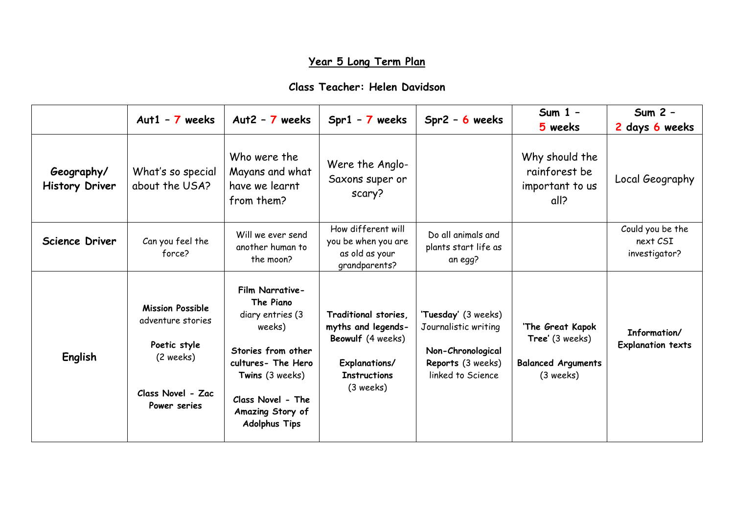## **Year 5 Long Term Plan**

## **Class Teacher: Helen Davidson**

|                                     | Aut1 - $7$ weeks                                                                                               | Aut2 - $7$ weeks                                                                                                                                                                           | $Spr1 - 7$ weeks                                                                                                       | $Spr2 - 6$ weeks                                                                                           | Sum $1 -$<br>5 weeks                                                          | Sum 2 -<br>2 days 6 weeks                     |
|-------------------------------------|----------------------------------------------------------------------------------------------------------------|--------------------------------------------------------------------------------------------------------------------------------------------------------------------------------------------|------------------------------------------------------------------------------------------------------------------------|------------------------------------------------------------------------------------------------------------|-------------------------------------------------------------------------------|-----------------------------------------------|
| Geography/<br><b>History Driver</b> | What's so special<br>about the USA?                                                                            | Who were the<br>Mayans and what<br>have we learnt<br>from them?                                                                                                                            | Were the Anglo-<br>Saxons super or<br>scary?                                                                           |                                                                                                            | Why should the<br>rainforest be<br>important to us<br>all?                    | Local Geography                               |
| <b>Science Driver</b>               | Can you feel the<br>force?                                                                                     | Will we ever send<br>another human to<br>the moon?                                                                                                                                         | How different will<br>you be when you are<br>as old as your<br>grandparents?                                           | Do all animals and<br>plants start life as<br>an egg?                                                      |                                                                               | Could you be the<br>next CSI<br>investigator? |
| English                             | <b>Mission Possible</b><br>adventure stories<br>Poetic style<br>(2 weeks)<br>Class Novel - Zac<br>Power series | Film Narrative-<br>The Piano<br>diary entries (3<br>weeks)<br>Stories from other<br>cultures- The Hero<br>Twins (3 weeks)<br>Class Novel - The<br>Amazing Story of<br><b>Adolphus Tips</b> | Traditional stories,<br>myths and legends-<br>Beowulf (4 weeks)<br>Explanations/<br><b>Instructions</b><br>$(3$ weeks) | 'Tuesday' (3 weeks)<br>Journalistic writing<br>Non-Chronological<br>Reports (3 weeks)<br>linked to Science | 'The Great Kapok<br>Tree' (3 weeks)<br><b>Balanced Arguments</b><br>(3 weeks) | Information/<br><b>Explanation texts</b>      |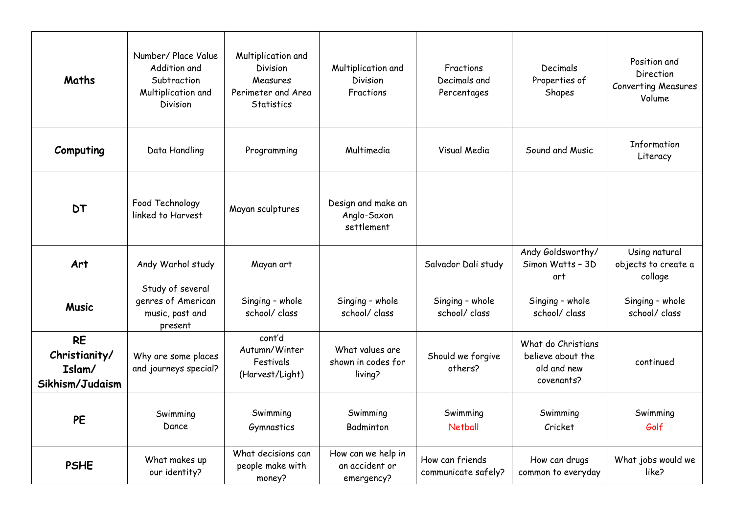| Maths                                                   | Number/ Place Value<br>Addition and<br>Subtraction<br>Multiplication and<br><b>Division</b> | Multiplication and<br><b>Division</b><br>Measures<br>Perimeter and Area<br><b>Statistics</b> | Multiplication and<br><b>Division</b><br>Fractions | Fractions<br>Decimals and<br>Percentages | Decimals<br>Properties of<br>Shapes                                  | Position and<br><b>Direction</b><br><b>Converting Measures</b><br>Volume |
|---------------------------------------------------------|---------------------------------------------------------------------------------------------|----------------------------------------------------------------------------------------------|----------------------------------------------------|------------------------------------------|----------------------------------------------------------------------|--------------------------------------------------------------------------|
| Computing                                               | Data Handling                                                                               | Programming                                                                                  | Multimedia                                         | Visual Media                             | Sound and Music                                                      | Information<br>Literacy                                                  |
| <b>DT</b>                                               | Food Technology<br>linked to Harvest                                                        | Mayan sculptures                                                                             | Design and make an<br>Anglo-Saxon<br>settlement    |                                          |                                                                      |                                                                          |
| Art                                                     | Andy Warhol study                                                                           | Mayan art                                                                                    |                                                    | Salvador Dali study                      | Andy Goldsworthy/<br>Simon Watts - 3D<br>art                         | Using natural<br>objects to create a<br>collage                          |
| <b>Music</b>                                            | Study of several<br>genres of American<br>music, past and<br>present                        | Singing - whole<br>school/ class                                                             | Singing - whole<br>school/ class                   | Singing - whole<br>school/ class         | Singing - whole<br>school/ class                                     | Singing - whole<br>school/ class                                         |
| <b>RE</b><br>Christianity/<br>Islam/<br>Sikhism/Judaism | Why are some places<br>and journeys special?                                                | cont'd<br>Autumn/Winter<br>Festivals<br>(Harvest/Light)                                      | What values are<br>shown in codes for<br>living?   | Should we forgive<br>others?             | What do Christians<br>believe about the<br>old and new<br>covenants? | continued                                                                |
| <b>PE</b>                                               | Swimming<br>Dance                                                                           | Swimming<br>Gymnastics                                                                       | Swimming<br>Badminton                              | Swimming<br><b>Netball</b>               | Swimming<br>Cricket                                                  | Swimming<br>Golf                                                         |
| <b>PSHE</b>                                             | What makes up<br>our identity?                                                              | What decisions can<br>people make with<br>money?                                             | How can we help in<br>an accident or<br>emergency? | How can friends<br>communicate safely?   | How can drugs<br>common to everyday                                  | What jobs would we<br>like?                                              |